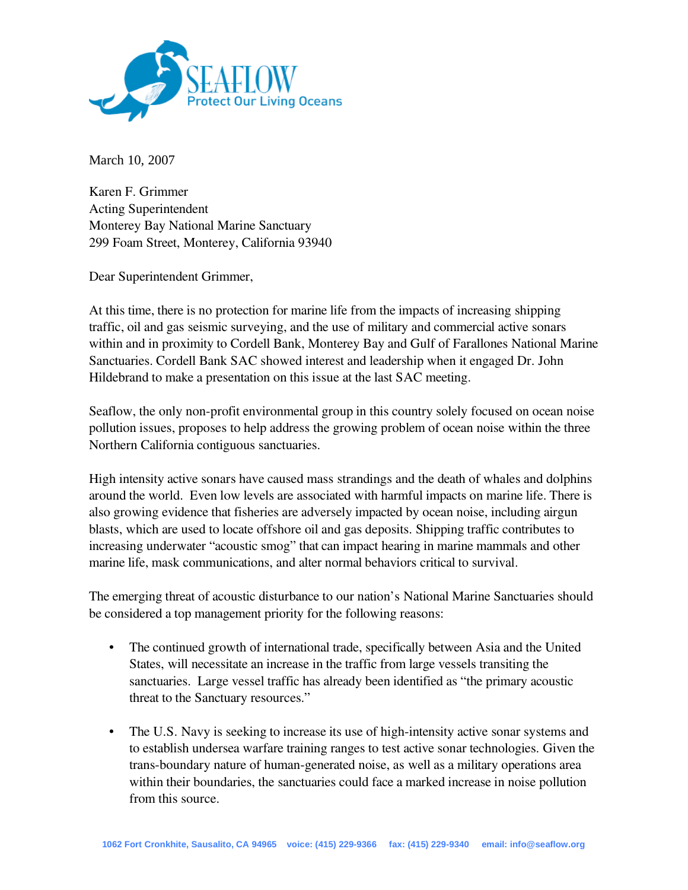

March 10, 2007

Karen F. Grimmer Acting Superintendent Monterey Bay National Marine Sanctuary 299 Foam Street, Monterey, California 93940

Dear Superintendent Grimmer,

At this time, there is no protection for marine life from the impacts of increasing shipping traffic, oil and gas seismic surveying, and the use of military and commercial active sonars within and in proximity to Cordell Bank, Monterey Bay and Gulf of Farallones National Marine Sanctuaries. Cordell Bank SAC showed interest and leadership when it engaged Dr. John Hildebrand to make a presentation on this issue at the last SAC meeting.

Seaflow, the only non-profit environmental group in this country solely focused on ocean noise pollution issues, proposes to help address the growing problem of ocean noise within the three Northern California contiguous sanctuaries.

High intensity active sonars have caused mass strandings and the death of whales and dolphins around the world. Even low levels are associated with harmful impacts on marine life. There is also growing evidence that fisheries are adversely impacted by ocean noise, including airgun blasts, which are used to locate offshore oil and gas deposits. Shipping traffic contributes to increasing underwater "acoustic smog" that can impact hearing in marine mammals and other marine life, mask communications, and alter normal behaviors critical to survival.

The emerging threat of acoustic disturbance to our nation's National Marine Sanctuaries should be considered a top management priority for the following reasons:

- The continued growth of international trade, specifically between Asia and the United States, will necessitate an increase in the traffic from large vessels transiting the sanctuaries. Large vessel traffic has already been identified as "the primary acoustic threat to the Sanctuary resources."
- The U.S. Navy is seeking to increase its use of high-intensity active sonar systems and to establish undersea warfare training ranges to test active sonar technologies. Given the trans-boundary nature of human-generated noise, as well as a military operations area within their boundaries, the sanctuaries could face a marked increase in noise pollution from this source.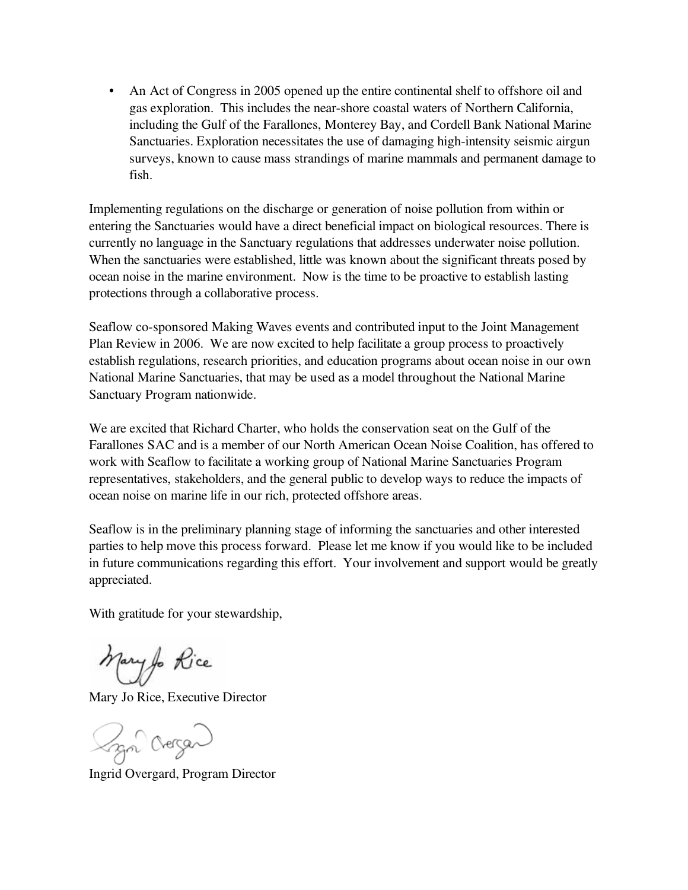• An Act of Congress in 2005 opened up the entire continental shelf to offshore oil and gas exploration. This includes the near-shore coastal waters of Northern California, including the Gulf of the Farallones, Monterey Bay, and Cordell Bank National Marine Sanctuaries. Exploration necessitates the use of damaging high-intensity seismic airgun surveys, known to cause mass strandings of marine mammals and permanent damage to fish.

Implementing regulations on the discharge or generation of noise pollution from within or entering the Sanctuaries would have a direct beneficial impact on biological resources. There is currently no language in the Sanctuary regulations that addresses underwater noise pollution. When the sanctuaries were established, little was known about the significant threats posed by ocean noise in the marine environment. Now is the time to be proactive to establish lasting protections through a collaborative process.

Seaflow co-sponsored Making Waves events and contributed input to the Joint Management Plan Review in 2006. We are now excited to help facilitate a group process to proactively establish regulations, research priorities, and education programs about ocean noise in our own National Marine Sanctuaries, that may be used as a model throughout the National Marine Sanctuary Program nationwide.

We are excited that Richard Charter, who holds the conservation seat on the Gulf of the Farallones SAC and is a member of our North American Ocean Noise Coalition, has offered to work with Seaflow to facilitate a working group of National Marine Sanctuaries Program representatives, stakeholders, and the general public to develop ways to reduce the impacts of ocean noise on marine life in our rich, protected offshore areas.

Seaflow is in the preliminary planning stage of informing the sanctuaries and other interested parties to help move this process forward. Please let me know if you would like to be included in future communications regarding this effort. Your involvement and support would be greatly appreciated.

With gratitude for your stewardship,

Mary for Rice

Mary Jo Rice, Executive Director

Lan Oregan

Ingrid Overgard, Program Director